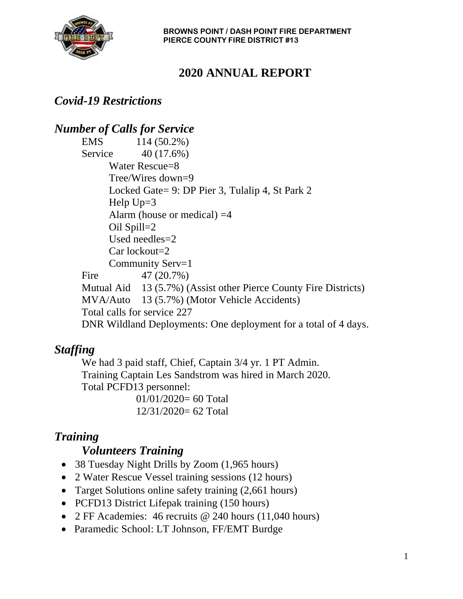

# **2020 ANNUAL REPORT**

### *Covid-19 Restrictions*

#### *Number of Calls for Service*

EMS 114 (50.2%) Service 40 (17.6%) Water Rescue=8 Tree/Wires down=9 Locked Gate= 9: DP Pier 3, Tulalip 4, St Park 2 Help  $Up=3$ Alarm (house or medical)  $=4$ Oil Spill=2 Used needles=2 Car lockout=2 Community Serv=1 Fire 47 (20.7%) Mutual Aid 13 (5.7%) (Assist other Pierce County Fire Districts) MVA/Auto 13 (5.7%) (Motor Vehicle Accidents) Total calls for service 227 DNR Wildland Deployments: One deployment for a total of 4 days.

#### *Staffing*

We had 3 paid staff, Chief, Captain 3/4 yr. 1 PT Admin. Training Captain Les Sandstrom was hired in March 2020. Total PCFD13 personnel: 01/01/2020= 60 Total

12/31/2020= 62 Total

### *Training*

#### *Volunteers Training*

- 38 Tuesday Night Drills by Zoom (1,965 hours)
- 2 Water Rescue Vessel training sessions (12 hours)
- Target Solutions online safety training (2,661 hours)
- PCFD13 District Lifepak training (150 hours)
- 2 FF Academies: 46 recruits @ 240 hours (11,040 hours)
- Paramedic School: LT Johnson, FF/EMT Burdge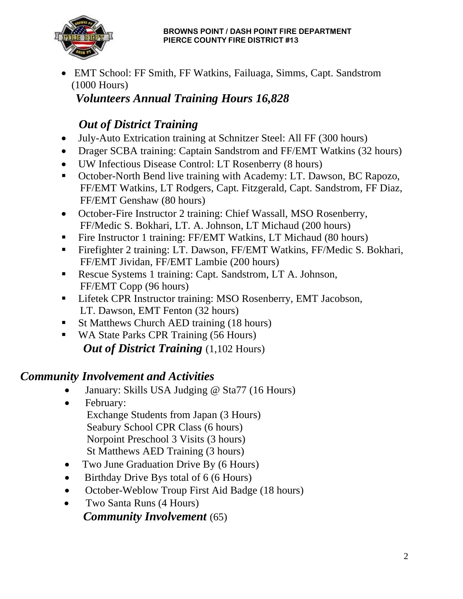

• EMT School: FF Smith, FF Watkins, Failuaga, Simms, Capt. Sandstrom (1000 Hours)

#### *Volunteers Annual Training Hours 16,828*

# *Out of District Training*

- July-Auto Extrication training at Schnitzer Steel: All FF (300 hours)
- Drager SCBA training: Captain Sandstrom and FF/EMT Watkins (32 hours)
- UW Infectious Disease Control: LT Rosenberry (8 hours)
- October-North Bend live training with Academy: LT. Dawson, BC Rapozo, FF/EMT Watkins, LT Rodgers, Capt. Fitzgerald, Capt. Sandstrom, FF Diaz, FF/EMT Genshaw (80 hours)
- October-Fire Instructor 2 training: Chief Wassall, MSO Rosenberry, FF/Medic S. Bokhari, LT. A. Johnson, LT Michaud (200 hours)
- Fire Instructor 1 training: FF/EMT Watkins, LT Michaud (80 hours)
- Firefighter 2 training: LT. Dawson, FF/EMT Watkins, FF/Medic S. Bokhari, FF/EMT Jividan, FF/EMT Lambie (200 hours)
- Rescue Systems 1 training: Capt. Sandstrom, LT A. Johnson, FF/EMT Copp (96 hours)
- **EXECUTE:** Lifetek CPR Instructor training: MSO Rosenberry, EMT Jacobson, LT. Dawson, EMT Fenton (32 hours)
- St Matthews Church AED training (18 hours)
- WA State Parks CPR Training (56 Hours) **Out of District Training** (1,102 Hours)

### *Community Involvement and Activities*

- January: Skills USA Judging @ Sta77 (16 Hours)
- February: Exchange Students from Japan (3 Hours) Seabury School CPR Class (6 hours) Norpoint Preschool 3 Visits (3 hours) St Matthews AED Training (3 hours)
- Two June Graduation Drive By (6 Hours)
- Birthday Drive Bys total of 6 (6 Hours)
- October-Weblow Troup First Aid Badge (18 hours)
- Two Santa Runs (4 Hours)  *Community Involvement* (65)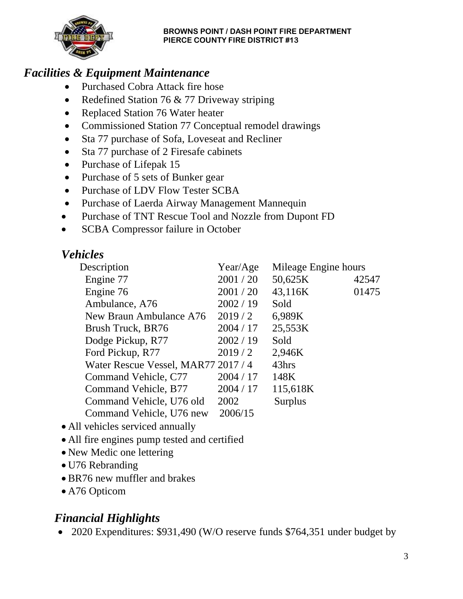

### *Facilities & Equipment Maintenance*

- Purchased Cobra Attack fire hose
- Redefined Station 76 & 77 Driveway striping
- Replaced Station 76 Water heater
- Commissioned Station 77 Conceptual remodel drawings
- Sta 77 purchase of Sofa, Loveseat and Recliner
- Sta 77 purchase of 2 Firesafe cabinets
- Purchase of Lifepak 15
- Purchase of 5 sets of Bunker gear
- Purchase of LDV Flow Tester SCBA
- Purchase of Laerda Airway Management Mannequin
- Purchase of TNT Rescue Tool and Nozzle from Dupont FD
- SCBA Compressor failure in October

## *Vehicles*

| Description                         | Year/Age  | Mileage Engine hours |       |
|-------------------------------------|-----------|----------------------|-------|
| Engine 77                           | 2001 / 20 | 50,625K              | 42547 |
| Engine 76                           | 2001 / 20 | 43,116K              | 01475 |
| Ambulance, A76                      | 2002 / 19 | Sold                 |       |
| New Braun Ambulance A76             | 2019/2    | 6,989K               |       |
| Brush Truck, BR76                   | 2004 / 17 | 25,553K              |       |
| Dodge Pickup, R77                   | 2002 / 19 | Sold                 |       |
| Ford Pickup, R77                    | 2019/2    | 2,946K               |       |
| Water Rescue Vessel, MAR77 2017 / 4 |           | 43hrs                |       |
| Command Vehicle, C77                | 2004 / 17 | 148K                 |       |
| Command Vehicle, B77                | 2004 / 17 | 115,618K             |       |
| Command Vehicle, U76 old            | 2002      | <b>Surplus</b>       |       |
| Command Vehicle, U76 new            | 2006/15   |                      |       |

- All vehicles serviced annually
- All fire engines pump tested and certified
- New Medic one lettering
- U76 Rebranding
- BR76 new muffler and brakes
- A76 Opticom

## *Financial Highlights*

• 2020 Expenditures: \$931,490 (W/O reserve funds \$764,351 under budget by